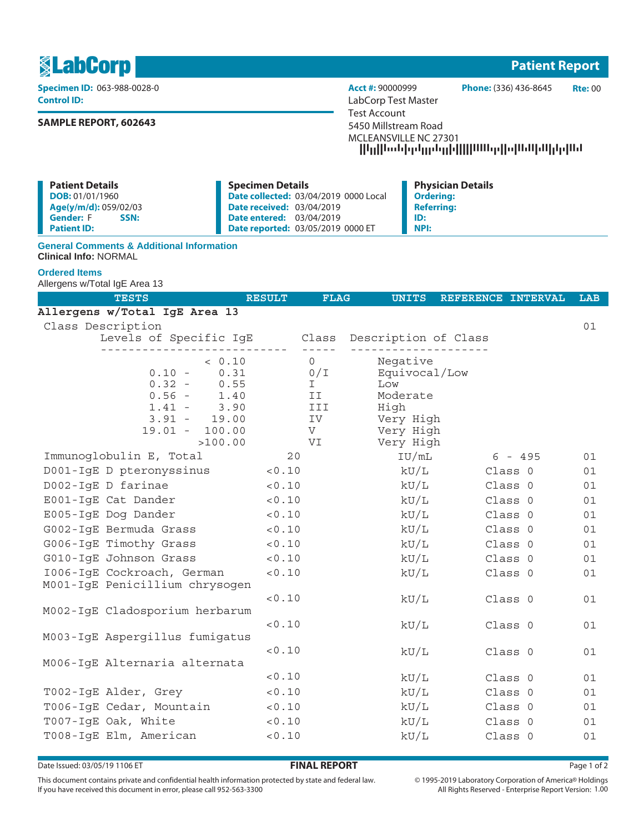1 **Patient Report**

**Control ID:** LabCorp Test Master

# **SAMPLE REPORT, 602643**

**Specimen ID:** 063-988-0028-0 **Acct #:** 90000999 **Phone:** (336) 436-8645 **Rte:** 00 Test Account 5450 Millstream Road MCLEANSVILLE NC 27301 --------------------

| <b>Patient Details</b>   | <b>Specimen Details</b>                      | <b>Physician Details</b> |
|--------------------------|----------------------------------------------|--------------------------|
| DOB: 01/01/1960          | <b>Date collected: 03/04/2019 0000 Local</b> | <b>Ordering:</b>         |
| Age(y/m/d): 059/02/03    | <b>Date received: 03/04/2019</b>             | <b>Referring:</b>        |
| <b>Gender: F</b><br>SSN: | <b>Date entered: 03/04/2019</b>              | ID:                      |
| <b>Patient ID:</b>       | Date reported: 03/05/2019 0000 ET            | <b>NPI:</b>              |

### **General Comments & Additional Information Clinical Info:** NORMAL

## **Ordered Items**

Allergens w/Total IgE Area 13

| <b>TESTS</b>                                                                                                                            | <b>RESULT</b>                                                          | <b>FLAG</b><br><b>UNITS</b>                                                                 | REFERENCE INTERVAL | <b>LAB</b> |
|-----------------------------------------------------------------------------------------------------------------------------------------|------------------------------------------------------------------------|---------------------------------------------------------------------------------------------|--------------------|------------|
| Allergens w/Total IgE Area 13                                                                                                           |                                                                        |                                                                                             |                    |            |
| Class Description                                                                                                                       |                                                                        |                                                                                             |                    | 01         |
| Levels of Specific IgE Class Description of Class                                                                                       |                                                                        |                                                                                             |                    |            |
| < 0.10<br>0.31<br>$0.10 -$<br>$0.32 -$<br>0.55<br>$0.56 -$<br>1.40<br>$1.41 -$<br>3.90<br>$3.91 - 19.00$<br>$19.01 - 100.00$<br>>100.00 | $0 \qquad \qquad$<br>0/I<br>$\mathbf{I}$<br>II<br>III<br>IV<br>V<br>VI | Negative<br>Equivocal/Low<br>Low<br>Moderate<br>High<br>Very High<br>Very High<br>Very High |                    |            |
| Immunoglobulin E, Total                                                                                                                 | 20                                                                     | IU/mL                                                                                       | 6 - 495            | 01         |
| D001-IgE D pteronyssinus                                                                                                                | < 0.10                                                                 | kU/L                                                                                        | Class 0            | 01         |
| D002-IgE D farinae                                                                                                                      | 0.10                                                                   | $\rm kU/L$                                                                                  | Class 0            | 01         |
| E001-IgE Cat Dander                                                                                                                     | < 0.10                                                                 | kU/L                                                                                        | Class 0            | 01         |
| E005-IgE Dog Dander                                                                                                                     | < 0.10                                                                 | kU/L                                                                                        | Class 0            | 01         |
| G002-IqE Bermuda Grass                                                                                                                  | < 0.10                                                                 | kU/L                                                                                        | Class 0            | 01         |
| G006-IqE Timothy Grass                                                                                                                  | < 0.10                                                                 | kU/L                                                                                        | Class 0            | 01         |
| G010-IgE Johnson Grass                                                                                                                  | < 0.10                                                                 | kU/L                                                                                        | Class 0            | 01         |
| 1006-IqE Cockroach, German<br>M001-IgE Penicillium chrysogen                                                                            | < 0.10                                                                 | kU/L                                                                                        | Class 0            | 01         |
| M002-IgE Cladosporium herbarum                                                                                                          | < 0.10                                                                 | kU/L                                                                                        | Class 0            | 01         |
| M003-IgE Aspergillus fumigatus                                                                                                          | < 0.10                                                                 | kU/L                                                                                        | Class 0            | 01         |
| M006-IgE Alternaria alternata                                                                                                           | < 0.10                                                                 | kU/L                                                                                        | Class 0            | 01         |
|                                                                                                                                         | < 0.10                                                                 | kU/L                                                                                        | Class 0            | 01         |
| T002-IgE Alder, Grey                                                                                                                    | 0.10                                                                   | kU/L                                                                                        | Class 0            | 01         |
| T006-IgE Cedar, Mountain                                                                                                                | 0.10                                                                   | kU/L                                                                                        | Class 0            | 01         |
| T007-IgE Oak, White                                                                                                                     | 0.10                                                                   | $\rm kU/L$                                                                                  | Class 0            | 01         |
| T008-IqE Elm, American                                                                                                                  | < 0.10                                                                 | kU/L                                                                                        | Class 0            | 01         |

Date Issued: 03/05/19 1106 ET **FINAL REPORT** Page 1 of 2

This document contains private and confidential health information protected by state and federal law. If you have received this document in error, please call 952-563-3300

 $\circledcirc$  1995-2019 Laboratory Corporation of America  $\circledcirc$  Holdings All Rights Reserved - Enterprise Report Version: 1.00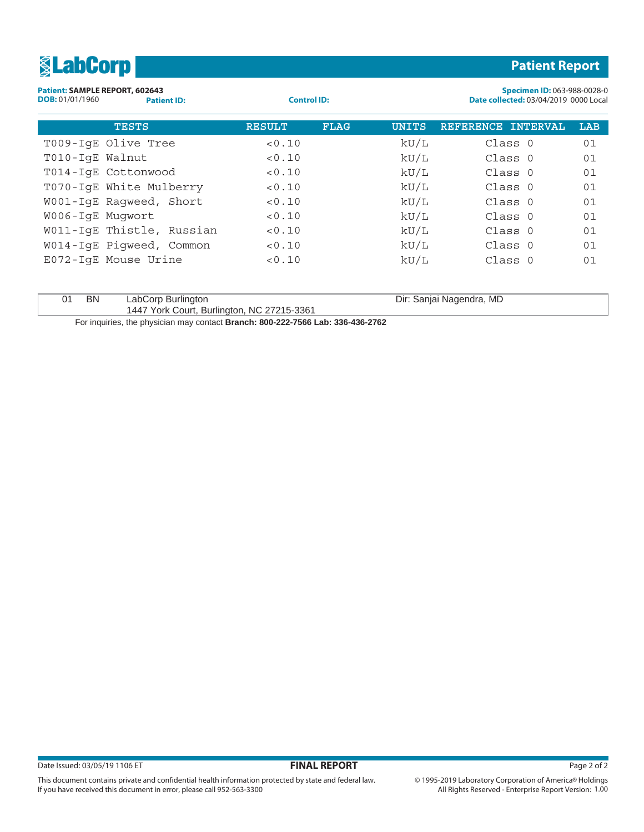| <b>ElabCorp</b>                                                                |                    |             |              | <b>Patient Report</b>                                                |     |
|--------------------------------------------------------------------------------|--------------------|-------------|--------------|----------------------------------------------------------------------|-----|
| Patient: SAMPLE REPORT, 602643<br><b>DOB:</b> 01/01/1960<br><b>Patient ID:</b> | <b>Control ID:</b> |             |              | Specimen ID: 063-988-0028-0<br>Date collected: 03/04/2019 0000 Local |     |
| <b>TESTS</b>                                                                   | <b>RESULT</b>      | <b>FLAG</b> | <b>UNITS</b> | <b>REFERENCE</b><br><b>INTERVAL</b>                                  | LAB |
| T009-IqE Olive Tree                                                            | < 0.10             |             | kU/L         | Class 0                                                              | 01  |
| T010-IqE Walnut                                                                | < 0.10             |             | kU/L         | Class 0                                                              | 01  |
| T014-IqE Cottonwood                                                            | < 0.10             |             | kU/L         | Class 0                                                              | 01  |
| T070-IqE White Mulberry                                                        | < 0.10             |             | kU/L         | Class 0                                                              | 01  |
| W001-IqE Raqweed, Short                                                        | < 0.10             |             | kU/L         | Class 0                                                              | 01  |
| W006-IqE Muqwort                                                               | < 0.10             |             | kU/L         | Class 0                                                              | 01  |
| W011-IqE Thistle, Russian                                                      | < 0.10             |             | kU/L         | Class 0                                                              | 01  |
| W014-IqE Piqweed, Common                                                       | < 0.10             |             | kU/L         | Class 0                                                              | 01  |
| E072-IqE Mouse Urine                                                           | < 0.10             |             | kU/L         | Class 0                                                              | 01  |

| 01 | - BN | LabCorp Burlington                         | Dir: Sanjai Nagendra, MD |
|----|------|--------------------------------------------|--------------------------|
|    |      | 1447 York Court, Burlington, NC 27215-3361 |                          |
|    |      |                                            |                          |

For inquiries, the physician may contact **Branch: 800-222-7566 Lab: 336-436-2762**

This document contains private and confidential health information protected by state and federal law.

If you have received this document in error, please call 952-563-3300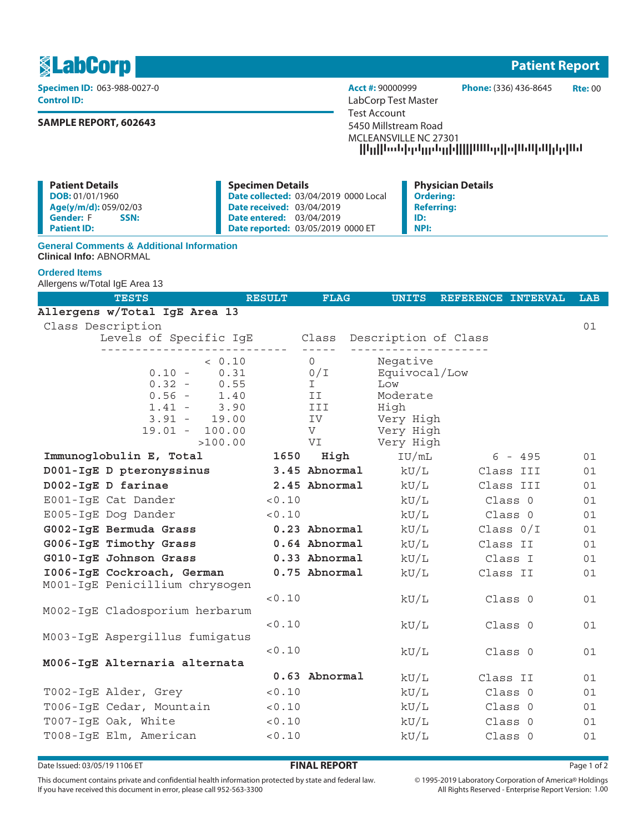1 **Patient Report**

**Control ID:** LabCorp Test Master

# **SAMPLE REPORT, 602643**

**Specimen ID:** 063-988-0027-0 **Acct #:** 90000999 **Phone:** (336) 436-8645 **Rte:** 00 Test Account 5450 Millstream Road MCLEANSVILLE NC 27301 --------------------

| <b>Specimen Details</b> | <b>Physician Details</b>                                                                                                                                        |
|-------------------------|-----------------------------------------------------------------------------------------------------------------------------------------------------------------|
|                         | <b>Ordering:</b>                                                                                                                                                |
|                         | <b>Referring:</b>                                                                                                                                               |
|                         | ID:                                                                                                                                                             |
|                         | <b>NPI:</b>                                                                                                                                                     |
|                         | <b>Date collected: 03/04/2019 0000 Local</b><br><b>Date received: 03/04/2019</b><br><b>Date entered: 03/04/2019</b><br><b>Date reported: 03/05/2019 0000 ET</b> |

### **General Comments & Additional Information Clinical Info:** ABNORMAL

## **Ordered Items**

Allergens w/Total IgE Area 13

| <b>TESTS</b>                                                 | <b>RESULT</b> | <b>FLAG</b>   | <b>UNITS</b>     | REFERENCE INTERVAL | <b>LAB</b> |
|--------------------------------------------------------------|---------------|---------------|------------------|--------------------|------------|
| Allergens w/Total IgE Area 13                                |               |               |                  |                    |            |
| Class Description                                            |               |               |                  |                    | 01         |
| Levels of Specific IgE Class Description of Class            |               | $- - - - - -$ |                  |                    |            |
| < 0.10                                                       |               | $\Omega$      | Negative         |                    |            |
| 0.31<br>$0.10 -$                                             |               | 0/I           | Equivocal/Low    |                    |            |
| $0.32 -$<br>0.55                                             |               | $\mathbf{I}$  | Low              |                    |            |
| $0.56 - 1.40$<br>$1.41 -$<br>3.90                            |               | II<br>III     | Moderate<br>High |                    |            |
| $3.91 - 19.00$                                               |               | IV            | Very High        |                    |            |
| $19.01 - 100.00$                                             |               | V             | Very High        |                    |            |
| >100.00                                                      |               | VI            | Very High        |                    |            |
| Immunoglobulin E, Total                                      | 1650          | High          | IU/mL            | $6 - 495$          | 01         |
| D001-IgE D pteronyssinus 3.45 Abnormal kU/L                  |               |               |                  | Class III          | 01         |
| D002-IgE D farinae                                           |               | 2.45 Abnormal | kU/L             | Class III          | 01         |
| E001-IqE Cat Dander                                          | < 0.10        |               | kU/L             | Class 0            | 01         |
| E005-IgE Dog Dander                                          | < 0.10        |               | kU/L             | Class 0            | 01         |
| G002-IgE Bermuda Grass                                       |               | 0.23 Abnormal | kU/L             | Class $0/I$        | 01         |
| G006-IgE Timothy Grass                                       | 0.64 Abnormal |               | kU/L             | Class II           | 01         |
| G010-IgE Johnson Grass                                       |               | 0.33 Abnormal | kU/L             | Class I            | 01         |
| 1006-IgE Cockroach, German<br>M001-IgE Penicillium chrysogen |               | 0.75 Abnormal | kU/L             | Class II           | 01         |
|                                                              | < 0.10        |               | kU/L             | Class 0            | 01         |
| M002-IgE Cladosporium herbarum                               |               |               |                  |                    |            |
|                                                              | < 0.10        |               | kU/L             | Class 0            | 01         |
| M003-IqE Aspergillus fumigatus                               |               |               |                  |                    |            |
| M006-IgE Alternaria alternata                                | < 0.10        |               | kU/L             | Class 0            | 01         |
|                                                              |               | 0.63 Abnormal | kU/L             | Class II           | 01         |
| T002-IgE Alder, Grey                                         | < 0.10        |               | kU/L             | Class 0            | 01         |
| T006-IgE Cedar, Mountain                                     | 0.10          |               | kU/L             | Class 0            | 01         |
| T007-IgE Oak, White                                          | < 0.10        |               | kU/L             | Class 0            | 01         |
| T008-IqE Elm, American                                       | < 0.10        |               | kU/L             | Class 0            | 01         |
|                                                              |               |               |                  |                    |            |

Date Issued: 03/05/19 1106 ET **FINAL REPORT** Page 1 of 2

This document contains private and confidential health information protected by state and federal law. If you have received this document in error, please call 952-563-3300

 $\circledcirc$  1995-2019 Laboratory Corporation of America  $\circledcirc$  Holdings All Rights Reserved - Enterprise Report Version: 1.00